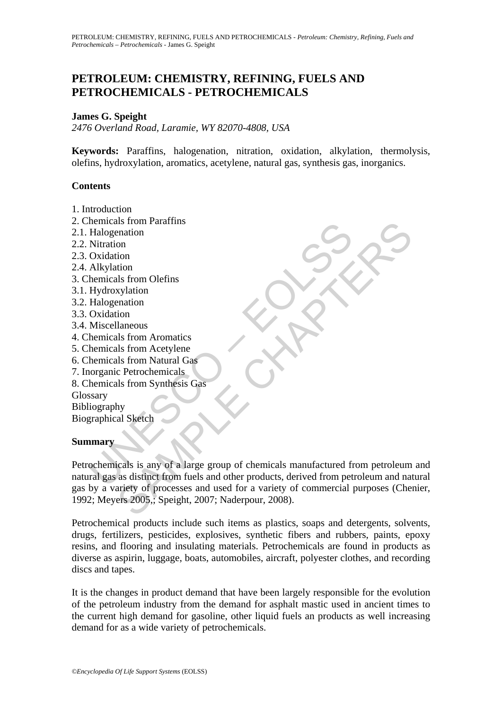# **PETROLEUM: CHEMISTRY, REFINING, FUELS AND PETROCHEMICALS - PETROCHEMICALS**

#### **James G. Speight**

*2476 Overland Road, Laramie, WY 82070-4808, USA* 

**Keywords:** Paraffins, halogenation, nitration, oxidation, alkylation, thermolysis, olefins, hydroxylation, aromatics, acetylene, natural gas, synthesis gas, inorganics.

#### **Contents**

- 1. Introduction
- 2. Chemicals from Paraffins
- 2.1. Halogenation
- 2.2. Nitration
- 2.3. Oxidation
- 2.4. Alkylation
- 3. Chemicals from Olefins
- 3.1. Hydroxylation
- 3.2. Halogenation
- 3.3. Oxidation
- 3.4. Miscellaneous
- 4. Chemicals from Aromatics
- 5. Chemicals from Acetylene
- 6. Chemicals from Natural Gas
- 7. Inorganic Petrochemicals
- 8. Chemicals from Synthesis Gas

**Glossary** 

Bibliography Biographical Sketch

#### **Summary**

Halogenainon<br>
Halogenainon<br>
Halogenainon<br>
Nitration<br>
Oxidation<br>
Halogenainon<br>
Halogenainon<br>
Halogenainon<br>
Miscellaneous<br>
Networkshire<br>
Halogenainon<br>
Miscellaneous<br>
Nemicals from Natural Gas<br>
hormizals from Natural Gas<br>
hor Example the metals of the metals of the metals of the metals of the metals of the metals of the metals of the metals of the metals of the metals of the metals of the metals of the metals of the metals of the metals of the Petrochemicals is any of a large group of chemicals manufactured from petroleum and natural gas as distinct from fuels and other products, derived from petroleum and natural gas by a variety of processes and used for a variety of commercial purposes (Chenier, 1992; Meyers 2005,; Speight, 2007; Naderpour, 2008).

Petrochemical products include such items as plastics, soaps and detergents, solvents, drugs, fertilizers, pesticides, explosives, synthetic fibers and rubbers, paints, epoxy resins, and flooring and insulating materials. Petrochemicals are found in products as diverse as aspirin, luggage, boats, automobiles, aircraft, polyester clothes, and recording discs and tapes.

It is the changes in product demand that have been largely responsible for the evolution of the petroleum industry from the demand for asphalt mastic used in ancient times to the current high demand for gasoline, other liquid fuels an products as well increasing demand for as a wide variety of petrochemicals.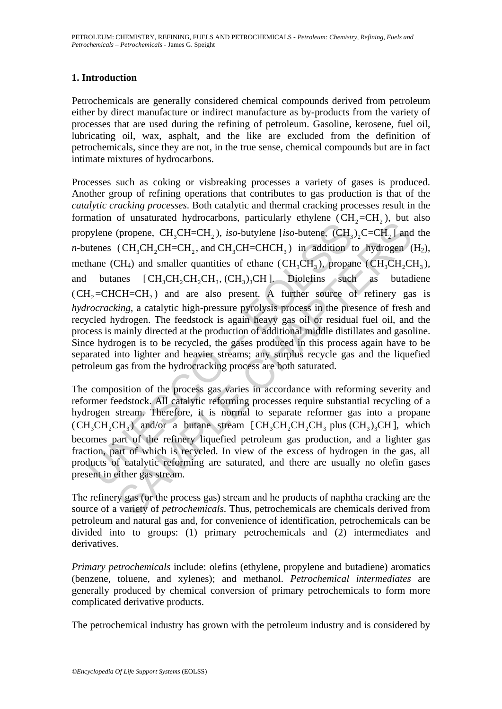## **1. Introduction**

Petrochemicals are generally considered chemical compounds derived from petroleum either by direct manufacture or indirect manufacture as by-products from the variety of processes that are used during the refining of petroleum. Gasoline, kerosene, fuel oil, lubricating oil, wax, asphalt, and the like are excluded from the definition of petrochemicals, since they are not, in the true sense, chemical compounds but are in fact intimate mixtures of hydrocarbons.

bylene (propene, CH<sub>3</sub>CH=CH<sub>2</sub>), *iso*-butylene [*iso*-butene, (CH<sub>3</sub>CH=CH<sub>2</sub>), *iso*-butylene [*iso*-butene, (CH<sub>3</sub>CH<sub>3</sub> tenes (CH<sub>3</sub>CH<sub>2</sub>CH<sub>2</sub>CH<sub>2</sub>CH<sub>2</sub>CH<sub>2</sub>CH<sub>2</sub>CH<sub>2</sub>CH<sub>3</sub>.) and CH<sub>3</sub>CH<sub>2</sub>CH<sub>2</sub>CH<sub>2</sub>CH<sub>2</sub>CH<sub>3</sub>, proparab or unawake ny solution. Function, particular entropy in the product  $\text{Cerp}$  (CH<sub>2</sub>-CH<sub>2</sub>), iso-butylene [iso-butne,  $(\text{CH}_3)_2\text{C--CH}_2$ ], and (CH<sub>3</sub>CH<sub>2</sub>CH<sub>2</sub>CH<sub>2</sub>CH<sub>2</sub>CH<sub>2</sub>), and ddition to hydrogen (CH<sub>3</sub>CH<sub>2</sub>CH<sub>2</sub>CH<sub>2</sub> Processes such as coking or visbreaking processes a variety of gases is produced. Another group of refining operations that contributes to gas production is that of the *catalytic cracking processes*. Both catalytic and thermal cracking processes result in the formation of unsaturated hydrocarbons, particularly ethylene  $(CH_2=CH_2)$ , but also propylene (propene,  $CH_2CH=CH_2$ ), *iso*-butylene [*iso*-butene,  $(CH_2)$ ,  $C=CH_2$ ] and the *n*-butenes (CH<sub>2</sub>CH<sub>2</sub>CH=CH<sub>2</sub>, and CH<sub>2</sub>CH=CHCH<sub>2</sub>) in addition to hydrogen  $(H_2)$ , methane (CH<sub>4</sub>) and smaller quantities of ethane (CH<sub>2</sub>CH<sub>2</sub>), propane (CH<sub>2</sub>CH<sub>2</sub>CH<sub>2</sub>), and butanes  $[CH_3CH_2CH_3CH_3$ ,  $(CH_3)_3CH$ ]. Diolefins such as butadiene  $(CH<sub>2</sub>=CHCH=CH<sub>2</sub>)$  and are also present. A further source of refinery gas is *hydrocracking*, a catalytic high-pressure pyrolysis process in the presence of fresh and recycled hydrogen. The feedstock is again heavy gas oil or residual fuel oil, and the process is mainly directed at the production of additional middle distillates and gasoline. Since hydrogen is to be recycled, the gases produced in this process again have to be separated into lighter and heavier streams; any surplus recycle gas and the liquefied petroleum gas from the hydrocracking process are both saturated.

The composition of the process gas varies in accordance with reforming severity and reformer feedstock. All catalytic reforming processes require substantial recycling of a hydrogen stream. Therefore, it is normal to separate reformer gas into a propane  $(CH<sub>2</sub>CH<sub>3</sub>CH<sub>3</sub>)$  and/or a butane stream  $[CH<sub>2</sub>CH<sub>3</sub>CH<sub>3</sub>$  plus  $(CH<sub>3</sub>)<sub>2</sub>CH$ , which becomes part of the refinery liquefied petroleum gas production, and a lighter gas fraction, part of which is recycled. In view of the excess of hydrogen in the gas, all products of catalytic reforming are saturated, and there are usually no olefin gases present in either gas stream.

The refinery gas (or the process gas) stream and he products of naphtha cracking are the source of a variety of *petrochemicals*. Thus, petrochemicals are chemicals derived from petroleum and natural gas and, for convenience of identification, petrochemicals can be divided into to groups: (1) primary petrochemicals and (2) intermediates and derivatives.

*Primary petrochemicals* include: olefins (ethylene, propylene and butadiene) aromatics (benzene, toluene, and xylenes); and methanol. *Petrochemical intermediates* are generally produced by chemical conversion of primary petrochemicals to form more complicated derivative products.

The petrochemical industry has grown with the petroleum industry and is considered by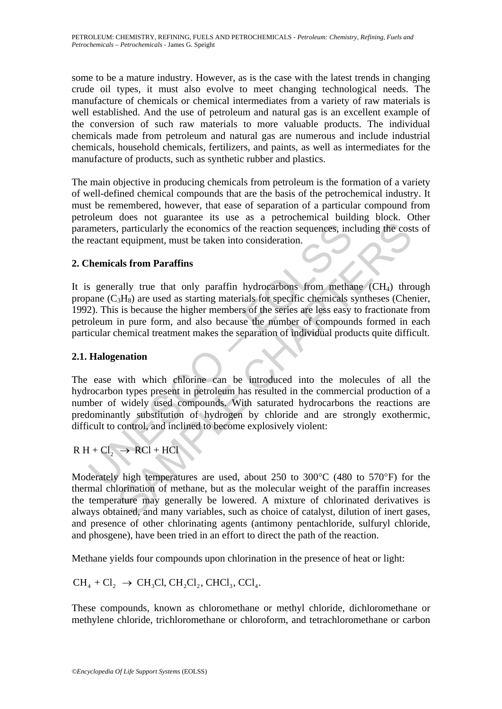some to be a mature industry. However, as is the case with the latest trends in changing crude oil types, it must also evolve to meet changing technological needs. The manufacture of chemicals or chemical intermediates from a variety of raw materials is well established. And the use of petroleum and natural gas is an excellent example of the conversion of such raw materials to more valuable products. The individual chemicals made from petroleum and natural gas are numerous and include industrial chemicals, household chemicals, fertilizers, and paints, as well as intermediates for the manufacture of products, such as synthetic rubber and plastics.

The main objective in producing chemicals from petroleum is the formation of a variety of well-defined chemical compounds that are the basis of the petrochemical industry. It must be remembered, however, that ease of separation of a particular compound from petroleum does not guarantee its use as a petrochemical building block. Other parameters, particularly the economics of the reaction sequences, including the costs of the reactant equipment, must be taken into consideration.

### **2. Chemicals from Paraffins**

meters, particularly the economics of the reaction sequences, increactant equipment, must be taken into consideration.<br>
Thermicals from Paraffins<br>
segencally true that only paraffin hydrocarbons from metha<br>
aane (C<sub>3</sub>H<sub>8</sub> 1. particularly the economics of the reaction sequences, including the cost<br>
equipment, must be taken into consideration.<br> **als from Paraffins**<br> **als from Paraffins**<br> **als from Paraffins**<br> **als from Paraffins**<br> **als from** It is generally true that only paraffin hydrocarbons from methane  $(CH_4)$  through propane  $(C_3H_8)$  are used as starting materials for specific chemicals syntheses (Chenier, 1992). This is because the higher members of the series are less easy to fractionate from petroleum in pure form, and also because the number of compounds formed in each particular chemical treatment makes the separation of individual products quite difficult.

### **2.1. Halogenation**

The ease with which chlorine can be introduced into the molecules of all the hydrocarbon types present in petroleum has resulted in the commercial production of a number of widely used compounds. With saturated hydrocarbons the reactions are predominantly substitution of hydrogen by chloride and are strongly exothermic, difficult to control, and inclined to become explosively violent:

$$
R H + Cl_2 \rightarrow RCl + HCl
$$

Moderately high temperatures are used, about 250 to 300°C (480 to 570°F) for the thermal chlorination of methane, but as the molecular weight of the paraffin increases the temperature may generally be lowered. A mixture of chlorinated derivatives is always obtained, and many variables, such as choice of catalyst, dilution of inert gases, and presence of other chlorinating agents (antimony pentachloride, sulfuryl chloride, and phosgene), have been tried in an effort to direct the path of the reaction.

Methane yields four compounds upon chlorination in the presence of heat or light:

 $CH_4 + Cl_2 \rightarrow CH_3Cl$ ,  $CH_2Cl_2$ ,  $CHCl_3$ ,  $Cl_4$ .

These compounds, known as chloromethane or methyl chloride, dichloromethane or methylene chloride, trichloromethane or chloroform, and tetrachloromethane or carbon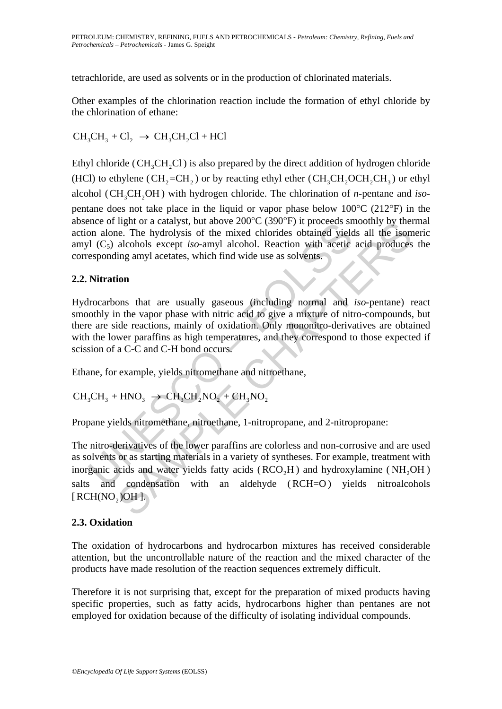tetrachloride, are used as solvents or in the production of chlorinated materials.

Other examples of the chlorination reaction include the formation of ethyl chloride by the chlorination of ethane:

$$
CH_3CH_3 + Cl_2 \rightarrow CH_3CH_2Cl + HCl
$$

Ethyl chloride ( $CH_3CH_2Cl$ ) is also prepared by the direct addition of hydrogen chloride (HCl) to ethylene (CH<sub>2</sub>=CH<sub>2</sub>) or by reacting ethyl ether (CH<sub>3</sub>CH<sub>2</sub>OCH<sub>2</sub>CH<sub>3</sub>) or ethyl alcohol (CH<sub>3</sub>CH<sub>2</sub>OH) with hydrogen chloride. The chlorination of *n*-pentane and *iso*pentane does not take place in the liquid or vapor phase below 100°C (212°F) in the absence of light or a catalyst, but above 200°C (390°F) it proceeds smoothly by thermal action alone. The hydrolysis of the mixed chlorides obtained yields all the isomeric amyl (C5) alcohols except *iso*-amyl alcohol. Reaction with acetic acid produces the corresponding amyl acetates, which find wide use as solvents.

### **2.2. Nitration**

Example of a Catalyst, but above 200 C (590 F) it proceeds sincate of ngit of a catalyst of the mixed chlorides obtained yields on alone. The hydrolysis of the mixed chlorides obtained yields of the other separation and l Hydrocarbons that are usually gaseous (including normal and *iso*-pentane) react smoothly in the vapor phase with nitric acid to give a mixture of nitro-compounds, but there are side reactions, mainly of oxidation. Only mononitro-derivatives are obtained with the lower paraffins as high temperatures, and they correspond to those expected if scission of a C-C and C-H bond occurs.

Ethane, for example, yields nitromethane and nitroethane,

$$
CH_3CH_3 + HNO_3 \rightarrow CH_3CH_2NO_2 + CH_3NO_2
$$

Propane yields nitromethane, nitroethane, 1-nitropropane, and 2-nitropropane:

mgnt or a catayst, but above 200°C (390°F) it proceeds smoothly by the<br>e.e. The hydrolysis of the mixed chlorides obtained yields all the isom<br>alcohols except *iso*-amyl alcohol. Reaction with acetic acid produces<br>alcohol The nitro-derivatives of the lower paraffins are colorless and non-corrosive and are used as solvents or as starting materials in a variety of syntheses. For example, treatment with inorganic acids and water yields fatty acids  $(RCO<sub>2</sub>H)$  and hydroxylamine  $(NH<sub>2</sub>OH)$ salts and condensation with an aldehyde (RCH=O) yields nitroalcohols  $[RCH(NO, )OH].$ 

### **2.3. Oxidation**

The oxidation of hydrocarbons and hydrocarbon mixtures has received considerable attention, but the uncontrollable nature of the reaction and the mixed character of the products have made resolution of the reaction sequences extremely difficult.

Therefore it is not surprising that, except for the preparation of mixed products having specific properties, such as fatty acids, hydrocarbons higher than pentanes are not employed for oxidation because of the difficulty of isolating individual compounds.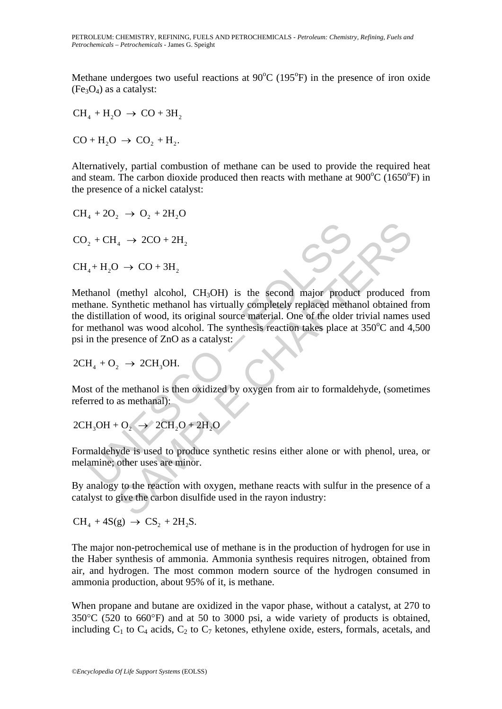Methane undergoes two useful reactions at  $90^{\circ}$ C (195 $^{\circ}$ F) in the presence of iron oxide  $(Fe<sub>3</sub>O<sub>4</sub>)$  as a catalyst:

 $CH<sub>4</sub> + H<sub>2</sub>O \rightarrow CO + 3H<sub>2</sub>$ 

 $CO + H<sub>2</sub>O \rightarrow CO<sub>2</sub> + H<sub>2</sub>.$ 

Alternatively, partial combustion of methane can be used to provide the required heat and steam. The carbon dioxide produced then reacts with methane at  $900^{\circ}$ C (1650 $^{\circ}$ F) in the presence of a nickel catalyst:

 $CH_4 + 2O_2 \rightarrow O_2 + 2H_2O$ 

 $CO<sub>2</sub> + CH<sub>4</sub> \rightarrow 2CO + 2H<sub>2</sub>$ 

 $CH<sub>4</sub> + H<sub>2</sub>O \rightarrow CO + 3H<sub>2</sub>$ 

2 + CH<sub>4</sub> → 2CO + 2H<sub>2</sub><br>
4+H<sub>2</sub>O → CO + 3H<sub>2</sub><br>
hanol (methyl alcohol, CH<sub>3</sub>OH) is the second major production<br>
hanne. Synthetic methanol has virtually completely replaced methanol was wood alcohol. The synthesis reaction  $\mu_4 \rightarrow 2CO + 2H_2$ <br>  $(0.0000 + 3H_2) \rightarrow CO + 3H_2$ <br>
(methyl alcohol, CH<sub>3</sub>OH) is the second major product produced f<br>
synthetic methanol has virtually completely replaced methanol obtained is<br>
of wood alcohol. The synthesis rea Methanol (methyl alcohol, CH<sub>3</sub>OH) is the second major product produced from methane. Synthetic methanol has virtually completely replaced methanol obtained from the distillation of wood, its original source material. One of the older trivial names used for methanol was wood alcohol. The synthesis reaction takes place at  $350^{\circ}$ C and  $4,500$ psi in the presence of ZnO as a catalyst:

$$
2CH_4 + O_2 \rightarrow 2CH_3OH.
$$

Most of the methanol is then oxidized by oxygen from air to formaldehyde, (sometimes referred to as methanal):

$$
2CH_3OH + O_2 \rightarrow 2CH_2O + 2H_2O
$$

Formaldehyde is used to produce synthetic resins either alone or with phenol, urea, or melamine; other uses are minor.

By analogy to the reaction with oxygen, methane reacts with sulfur in the presence of a catalyst to give the carbon disulfide used in the rayon industry:

 $CH<sub>4</sub> + 4S(g) \rightarrow CS<sub>2</sub> + 2H<sub>2</sub>S$ .

The major non-petrochemical use of methane is in the production of hydrogen for use in the Haber synthesis of ammonia. Ammonia synthesis requires nitrogen, obtained from air, and hydrogen. The most common modern source of the hydrogen consumed in ammonia production, about 95% of it, is methane.

When propane and butane are oxidized in the vapor phase, without a catalyst, at 270 to 350°C (520 to 660°F) and at 50 to 3000 psi, a wide variety of products is obtained, including  $C_1$  to  $C_4$  acids,  $C_2$  to  $C_7$  ketones, ethylene oxide, esters, formals, acetals, and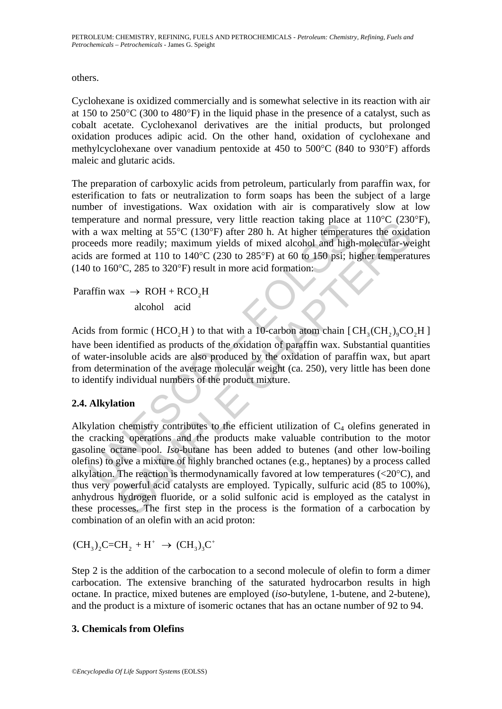PETROLEUM: CHEMISTRY, REFINING, FUELS AND PETROCHEMICALS - *Petroleum: Chemistry, Refining, Fuels and Petrochemicals – Petrochemicals* - James G. Speight

others.

Cyclohexane is oxidized commercially and is somewhat selective in its reaction with air at 150 to 250°C (300 to 480°F) in the liquid phase in the presence of a catalyst, such as cobalt acetate. Cyclohexanol derivatives are the initial products, but prolonged oxidation produces adipic acid. On the other hand, oxidation of cyclohexane and methylcyclohexane over vanadium pentoxide at 450 to 500°C (840 to 930°F) affords maleic and glutaric acids.

The preparation of carboxylic acids from petroleum, particularly from paraffin wax, for esterification to fats or neutralization to form soaps has been the subject of a large number of investigations. Wax oxidation with air is comparatively slow at low temperature and normal pressure, very little reaction taking place at 110°C (230°F), with a wax melting at 55°C (130°F) after 280 h. At higher temperatures the oxidation proceeds more readily; maximum yields of mixed alcohol and high-molecular-weight acids are formed at 110 to 140°C (230 to 285°F) at 60 to 150 psi; higher temperatures (140 to 160°C, 285 to 320°F) result in more acid formation:

Paraffin wax  $\rightarrow$  ROH + RCO<sub>2</sub>H alcohol acid

Acids from formic (HCO<sub>2</sub>H) to that with a 10-carbon atom chain  $[CH_3(CH_2)_0CO_3H]$ have been identified as products of the oxidation of paraffin wax. Substantial quantities of water-insoluble acids are also produced by the oxidation of paraffin wax, but apart from determination of the average molecular weight (ca. 250), very little has been done to identify individual numbers of the product mixture.

### **2.4. Alkylation**

because an ioninar pressure, very must because the product and a wax melting at 55°C (130°F) after 280 h. At higher temperateds more readily; maximum yields of mixed alcohol and high sare formed at 110 to 140°C (230 to 28 and nothal pleasure, very inter reaction taking plane at 110 C (250C)<br>in entired at 55°C (130°F) after 280 h. At higher temperatures the oxidation<br>order readily; maximum yields of mixed alcohol and high-molecular-wormed a Alkylation chemistry contributes to the efficient utilization of  $C_4$  olefins generated in the cracking operations and the products make valuable contribution to the motor gasoline octane pool. *Iso*-butane has been added to butenes (and other low-boiling olefins) to give a mixture of highly branched octanes (e.g., heptanes) by a process called alkylation. The reaction is thermodynamically favored at low temperatures  $(<20^{\circ}C$ ), and thus very powerful acid catalysts are employed. Typically, sulfuric acid (85 to 100%), anhydrous hydrogen fluoride, or a solid sulfonic acid is employed as the catalyst in these processes. The first step in the process is the formation of a carbocation by combination of an olefin with an acid proton:

 $(CH_3)_2C=CH_2 + H^+ \rightarrow (CH_3)_3C^+$ 

Step 2 is the addition of the carbocation to a second molecule of olefin to form a dimer carbocation. The extensive branching of the saturated hydrocarbon results in high octane. In practice, mixed butenes are employed (*iso*-butylene, 1-butene, and 2-butene), and the product is a mixture of isomeric octanes that has an octane number of 92 to 94.

### **3. Chemicals from Olefins**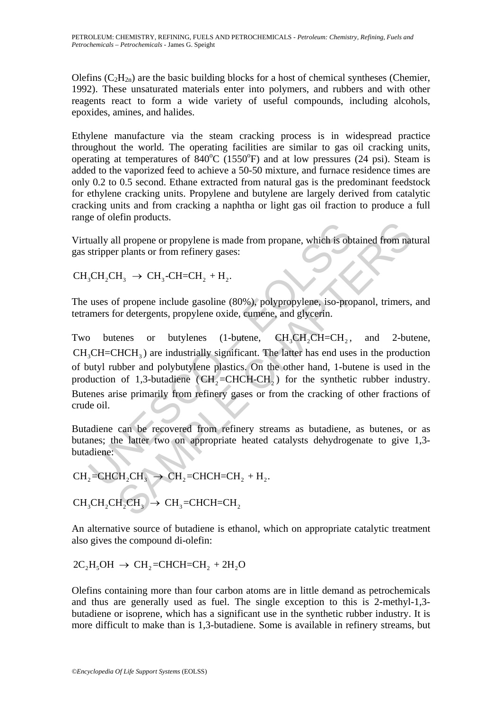Olefins  $(C_2H_{2n})$  are the basic building blocks for a host of chemical syntheses (Chemier, 1992). These unsaturated materials enter into polymers, and rubbers and with other reagents react to form a wide variety of useful compounds, including alcohols, epoxides, amines, and halides.

Ethylene manufacture via the steam cracking process is in widespread practice throughout the world. The operating facilities are similar to gas oil cracking units, operating at temperatures of  $840^{\circ}$ C (1550 $^{\circ}$ F) and at low pressures (24 psi). Steam is added to the vaporized feed to achieve a 50-50 mixture, and furnace residence times are only 0.2 to 0.5 second. Ethane extracted from natural gas is the predominant feedstock for ethylene cracking units. Propylene and butylene are largely derived from catalytic cracking units and from cracking a naphtha or light gas oil fraction to produce a full range of olefin products.

Virtually all propene or propylene is made from propane, which is obtained from natural gas stripper plants or from refinery gases:

 $CH<sub>3</sub>CH<sub>3</sub> \rightarrow CH<sub>3</sub>-CH=CH<sub>3</sub> + H<sub>3</sub>$ .

The uses of propene include gasoline (80%), polypropylene, iso-propanol, trimers, and tetramers for detergents, propylene oxide, cumene, and glycerin.

Lally all propene or propylene is made from propane, which is obtained stripper plants or from refinery gases:<br>
SCH<sub>2</sub>CH<sub>3</sub> → CH<sub>3</sub>-CH=CH<sub>2</sub> + H<sub>2</sub>.<br>
uses of propene include gasoline (80%), polypropylene, iso-proportions Il propene or propylene is made from propane, which is obtained from nat<br>
Il propene or propylene is made from propane, which is obtained from nat<br>
Il so CH<sub>3</sub>-CH<sub>3</sub>-CH<sub>2</sub>+H<sub>2</sub>.<br>
If propene include gasoline (80%), polypro Two butenes or butylenes (1-butene, CH<sub>3</sub>CH<sub>2</sub>CH=CH<sub>2</sub>, and 2-butene,  $CH<sub>3</sub>CH=CHCH<sub>3</sub>$ ) are industrially significant. The latter has end uses in the production of butyl rubber and polybutylene plastics. On the other hand, 1-butene is used in the production of 1,3-butadiene ( $CH<sub>2</sub>=CHCH-CH<sub>2</sub>$ ) for the synthetic rubber industry. Butenes arise primarily from refinery gases or from the cracking of other fractions of crude oil.

Butadiene can be recovered from refinery streams as butadiene, as butenes, or as butanes; the latter two on appropriate heated catalysts dehydrogenate to give 1,3 butadiene:

 $CH_2=CHCH_2CH_3 \rightarrow CH_2=CHCH=CH_2 + H_2.$ 

 $CH<sub>3</sub>CH<sub>3</sub>CH<sub>3</sub> \rightarrow CH<sub>3</sub>=CHCH=CH<sub>3</sub>$ 

An alternative source of butadiene is ethanol, which on appropriate catalytic treatment also gives the compound di-olefin:

 $2C_2H_5OH \rightarrow CH_2=CHCH=CH$ , +  $2H_2O$ 

Olefins containing more than four carbon atoms are in little demand as petrochemicals and thus are generally used as fuel. The single exception to this is 2-methyl-1,3 butadiene or isoprene, which has a significant use in the synthetic rubber industry. It is more difficult to make than is 1,3-butadiene. Some is available in refinery streams, but